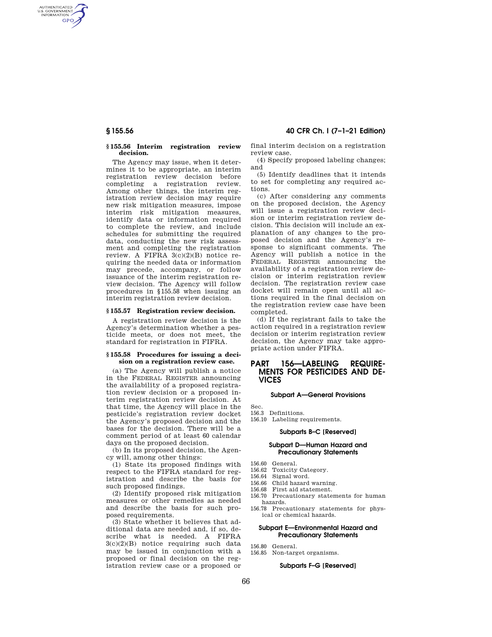AUTHENTICATED<br>U.S. GOVERNMENT<br>INFORMATION **GPO** 

#### **§ 155.56 Interim registration review decision.**

The Agency may issue, when it determines it to be appropriate, an interim registration review decision before completing a registration review. Among other things, the interim registration review decision may require new risk mitigation measures, impose interim risk mitigation measures, identify data or information required to complete the review, and include schedules for submitting the required data, conducting the new risk assessment and completing the registration review. A FIFRA 3(c)(2)(B) notice requiring the needed data or information may precede, accompany, or follow issuance of the interim registration review decision. The Agency will follow procedures in §155.58 when issuing an interim registration review decision.

#### **§ 155.57 Registration review decision.**

A registration review decision is the Agency's determination whether a pesticide meets, or does not meet, the standard for registration in FIFRA.

#### **§ 155.58 Procedures for issuing a decision on a registration review case.**

(a) The Agency will publish a notice in the FEDERAL REGISTER announcing the availability of a proposed registration review decision or a proposed interim registration review decision. At that time, the Agency will place in the pesticide's registration review docket the Agency's proposed decision and the bases for the decision. There will be a comment period of at least 60 calendar days on the proposed decision.

(b) In its proposed decision, the Agency will, among other things:

(1) State its proposed findings with respect to the FIFRA standard for registration and describe the basis for such proposed findings.

(2) Identify proposed risk mitigation measures or other remedies as needed and describe the basis for such proposed requirements.

(3) State whether it believes that additional data are needed and, if so, describe what is needed. A FIFRA  $3(c)(2)(B)$  notice requiring such data may be issued in conjunction with a proposed or final decision on the registration review case or a proposed or

**§ 155.56 40 CFR Ch. I (7–1–21 Edition)** 

final interim decision on a registration review case.

(4) Specify proposed labeling changes; and

(5) Identify deadlines that it intends to set for completing any required actions.

(c) After considering any comments on the proposed decision, the Agency will issue a registration review decision or interim registration review decision. This decision will include an explanation of any changes to the proposed decision and the Agency's response to significant comments. The Agency will publish a notice in the FEDERAL REGISTER announcing the availability of a registration review decision or interim registration review decision. The registration review case docket will remain open until all actions required in the final decision on the registration review case have been completed.

(d) If the registrant fails to take the action required in a registration review decision or interim registration review decision, the Agency may take appropriate action under FIFRA.

# **PART 156—LABELING REQUIRE-MENTS FOR PESTICIDES AND DE-VICES**

#### **Subpart A—General Provisions**

Sec.

156.3 Definitions.

156.10 Labeling requirements.

## **Subparts B–C [Reserved]**

## **Subpart D—Human Hazard and Precautionary Statements**

- 156.60 General.
- 156.62 Toxicity Category.
- 156.64 Signal word.
- 156.66 Child hazard warning.
- 156.68 First aid statement.
- 156.70 Precautionary statements for human hazards.
- 156.78 Precautionary statements for physical or chemical hazards.

#### **Subpart E—Environmental Hazard and Precautionary Statements**

#### 156.80 General.

156.85 Non-target organisms.

# **Subparts F–G [Reserved]**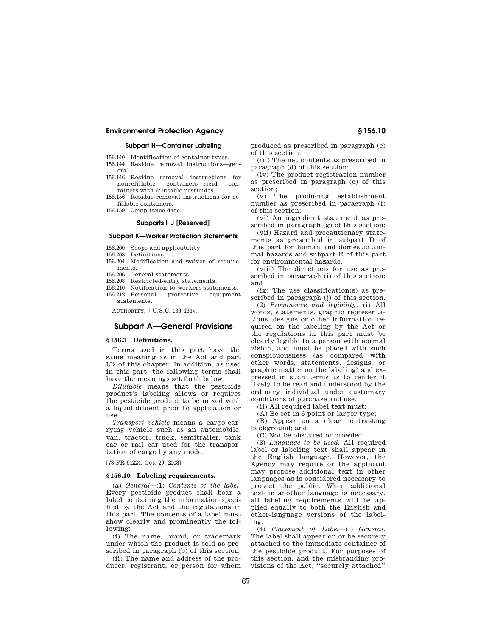### **Subpart H—Container Labeling**

156.140 Identification of container types.

156.144 Residue removal instructions—general.

- 156.146 Residue removal instructions for containers—rigid tainers with dilutable pesticides.
- 156.156 Residue removal instructions for refillable containers.
- 156.159 Compliance date.

#### **Subparts I–J [Reserved]**

#### **Subpart K—Worker Protection Statements**

- 156.200 Scope and applicability.
- 156.203 Definitions.
- 156.204 Modification and waiver of requirements.
- 156.206 General statements.
- 156.208 Restricted-entry statements.
- 156.210 Notification-to-workers statements.
- 156.212 Personal protective equipment statements.

AUTHORITY: 7 U.S.C. 136–136y.

# **Subpart A—General Provisions**

# **§ 156.3 Definitions.**

Terms used in this part have the same meaning as in the Act and part 152 of this chapter. In addition, as used in this part, the following terms shall have the meanings set forth below.

*Dilutable* means that the pesticide product's labeling allows or requires the pesticide product to be mixed with a liquid diluent prior to application or use.

*Transport vehicle* means a cargo-carrying vehicle such as an automobile, van, tractor, truck, semitrailer, tank car or rail car used for the transportation of cargo by any mode.

[73 FR 64224, Oct. 29, 2008]

#### **§ 156.10 Labeling requirements.**

(a) *General*—(1) *Contents of the label.*  Every pesticide product shall bear a label containing the information specified by the Act and the regulations in this part. The contents of a label must show clearly and prominently the following:

(i) The name, brand, or trademark under which the product is sold as prescribed in paragraph (b) of this section;

(ii) The name and address of the producer, registrant, or person for whom produced as prescribed in paragraph (c) of this section;

- (iii) The net contents as prescribed in paragraph (d) of this section;
- (iv) The product registration number as prescribed in paragraph (e) of this section;

(v) The producing establishment number as prescribed in paragraph (f) of this section;

(vi) An ingredient statement as prescribed in paragraph (g) of this section;

(vii) Hazard and precautionary statements as prescribed in subpart D of this part for human and domestic animal hazards and subpart E of this part for environmental hazards.

(viii) The directions for use as prescribed in paragraph (i) of this section; and

(ix) The use classification(s) as prescribed in paragraph (j) of this section.

(2) *Prominence and legibility.* (i) All words, statements, graphic representations, designs or other information required on the labeling by the Act or the regulations in this part must be clearly legible to a person with normal vision, and must be placed with such conspicuousness (as compared with other words, statements, designs, or graphic matter on the labeling) and expressed in such terms as to render it likely to be read and understood by the ordinary individual under customary conditions of purchase and use.

(ii) All required label text must:

(A) Be set in 6-point or larger type; (B) Appear on a clear contrasting

background; and

(C) Not be obscured or crowded.

(3) *Language to be used.* All required label or labeling text shall appear in the English language. However, the Agency may require or the applicant may propose additional text in other languages as is considered necessary to protect the public. When additional text in another language is necessary, all labeling requirements will be applied equally to both the English and other-language versions of the labeling.

(4) *Placement of Label*—(i) *General.*  The label shall appear on or be securely attached to the immediate container of the pesticide product. For purposes of this section, and the misbranding provisions of the Act, ''securely attached''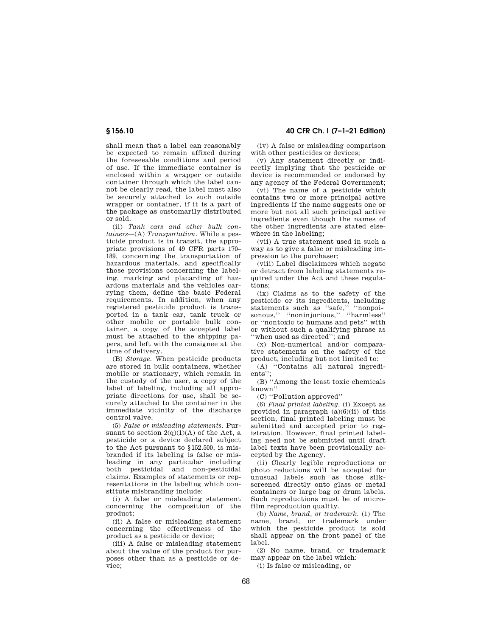shall mean that a label can reasonably be expected to remain affixed during the foreseeable conditions and period of use. If the immediate container is enclosed within a wrapper or outside container through which the label cannot be clearly read, the label must also be securely attached to such outside wrapper or container, if it is a part of the package as customarily distributed or sold.

(ii) *Tank cars and other bulk containers*—(A) *Transportation.* While a pesticide product is in transit, the appropriate provisions of 49 CFR parts 170– 189, concerning the transportation of hazardous materials, and specifically those provisions concerning the labeling, marking and placarding of hazardous materials and the vehicles carrying them, define the basic Federal requirements. In addition, when any registered pesticide product is transported in a tank car, tank truck or other mobile or portable bulk container, a copy of the accepted label must be attached to the shipping papers, and left with the consignee at the time of delivery.

(B) *Storage.* When pesticide products are stored in bulk containers, whether mobile or stationary, which remain in the custody of the user, a copy of the label of labeling, including all appropriate directions for use, shall be securely attached to the container in the immediate vicinity of the discharge control valve.

(5) *False or misleading statements.* Pursuant to section  $2(q)(1)(A)$  of the Act, a pesticide or a device declared subject to the Act pursuant to §152.500, is misbranded if its labeling is false or misleading in any particular including both pesticidal and non-pesticidal claims. Examples of statements or representations in the labeling which constitute misbranding include:

(i) A false or misleading statement concerning the composition of the product;

(ii) A false or misleading statement concerning the effectiveness of the product as a pesticide or device;

(iii) A false or misleading statement about the value of the product for purposes other than as a pesticide or de- $\bar{\mathrm{vice}}$ 

**§ 156.10 40 CFR Ch. I (7–1–21 Edition)** 

(iv) A false or misleading comparison with other pesticides or devices;

(v) Any statement directly or indirectly implying that the pesticide or device is recommended or endorsed by any agency of the Federal Government;

(vi) The name of a pesticide which contains two or more principal active ingredients if the name suggests one or more but not all such principal active ingredients even though the names of the other ingredients are stated elsewhere in the labeling;

(vii) A true statement used in such a way as to give a false or misleading impression to the purchaser;

(viii) Label disclaimers which negate or detract from labeling statements required under the Act and these regulations;

(ix) Claims as to the safety of the pesticide or its ingredients, including statements such as ''safe,'' ''nonpoisonous,'' ''noninjurious,'' ''harmless'' or ''nontoxic to humans and pets'' with or without such a qualifying phrase as ''when used as directed''; and

(x) Non-numerical and/or comparative statements on the safety of the product, including but not limited to:

(A) ''Contains all natural ingredients'';

(B) ''Among the least toxic chemicals known''

(C) ''Pollution approved''

(6) *Final printed labeling.* (i) Except as provided in paragraph (a)(6)(ii) of this section, final printed labeling must be submitted and accepted prior to registration. However, final printed labeling need not be submitted until draft label texts have been provisionally accepted by the Agency.

(ii) Clearly legible reproductions or photo reductions will be accepted for unusual labels such as those silkscreened directly onto glass or metal containers or large bag or drum labels. Such reproductions must be of microfilm reproduction quality.

(b) *Name, brand, or trademark.* (1) The name, brand, or trademark under which the pesticide product is sold shall appear on the front panel of the label.

(2) No name, brand, or trademark may appear on the label which:

(i) Is false or misleading, or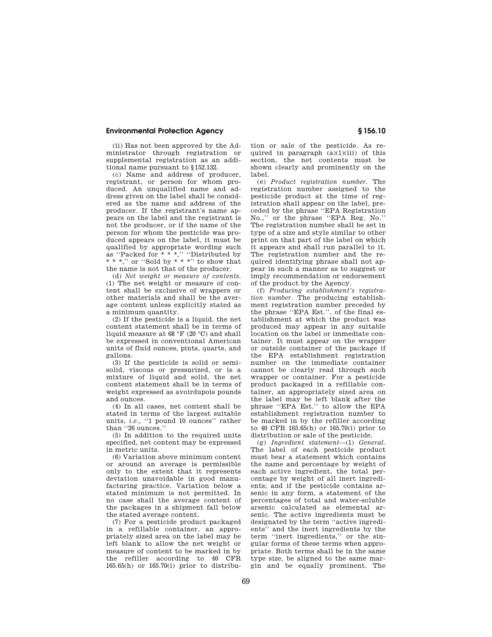(ii) Has not been approved by the Administrator through registration or supplemental registration as an additional name pursuant to §152.132.

(c) Name and address of producer, registrant, or person for whom produced. An unqualified name and address given on the label shall be considered as the name and address of the producer. If the registrant's name appears on the label and the registrant is not the producer, or if the name of the person for whom the pesticide was produced appears on the label, it must be qualified by appropriate wording such as "Packed for  $* * *$ ," "Distributed by  $**$  \*," or "Sold by  $***$ " to show that the name is not that of the producer.

(d) *Net weight or measure of contents.*  (1) The net weight or measure of content shall be exclusive of wrappers or other materials and shall be the average content unless explicitly stated as a minimum quantity.

(2) If the pesticide is a liquid, the net content statement shall be in terms of liquid measure at 68 °F (20 °C) and shall be expressed in conventional American units of fluid ounces, pints, quarts, and gallons.

(3) If the pesticide is solid or semisolid, viscous or pressurized, or is a mixture of liquid and solid, the net content statement shall be in terms of weight expressed as avoirdupois pounds and ounces.

(4) In all cases, net content shall be stated in terms of the largest suitable units, *i.e.*, "1 pound 10 ounces" rather than ''26 ounces.''

(5) In addition to the required units specified, net content may be expressed in metric units.

(6) Variation above minimum content or around an average is permissible only to the extent that it represents deviation unavoidable in good manufacturing practice. Variation below a stated minimum is not permitted. In no case shall the average content of the packages in a shipment fall below the stated average content.

(7) For a pesticide product packaged in a refillable container, an appropriately sized area on the label may be left blank to allow the net weight or measure of content to be marked in by the refiller according to 40 CFR 165.65(h) or 165.70(i) prior to distribution or sale of the pesticide. As required in paragraph  $(a)(1)(iii)$  of this section, the net contents must be shown clearly and prominently on the label.

(e) *Product registration number.* The registration number assigned to the pesticide product at the time of registration shall appear on the label, preceded by the phrase ''EPA Registration No.,'' or the phrase ''EPA Reg. No.'' The registration number shall be set in type of a size and style similar to other print on that part of the label on which it appears and shall run parallel to it. The registration number and the required identifying phrase shall not appear in such a manner as to suggest or imply recommendation or endorsement of the product by the Agency.

(f) *Producing establishment's registration number.* The producing establishment registration number preceded by the phrase ''EPA Est.'', of the final establishment at which the product was produced may appear in any suitable location on the label or immediate container. It must appear on the wrapper or outside container of the package if the EPA establishment registration number on the immediate container cannot be clearly read through such wrapper or container. For a pesticide product packaged in a refillable container, an appropriately sized area on the label may be left blank after the phrase ''EPA Est.'' to allow the EPA establishment registration number to be marked in by the refiller according to 40 CFR 165.65(h) or 165.70(i) prior to distribution or sale of the pesticide.

(g) *Ingredient statement*—(1) *General.*  The label of each pesticide product must bear a statement which contains the name and percentage by weight of each active ingredient, the total percentage by weight of all inert ingredients; and if the pesticide contains arsenic in any form, a statement of the percentages of total and water-soluble arsenic calculated as elemental arsenic. The active ingredients must be designated by the term ''active ingredients'' and the inert ingredients by the term ''inert ingredients,'' or the singular forms of these terms when appropriate. Both terms shall be in the same type size, be aligned to the same margin and be equally prominent. The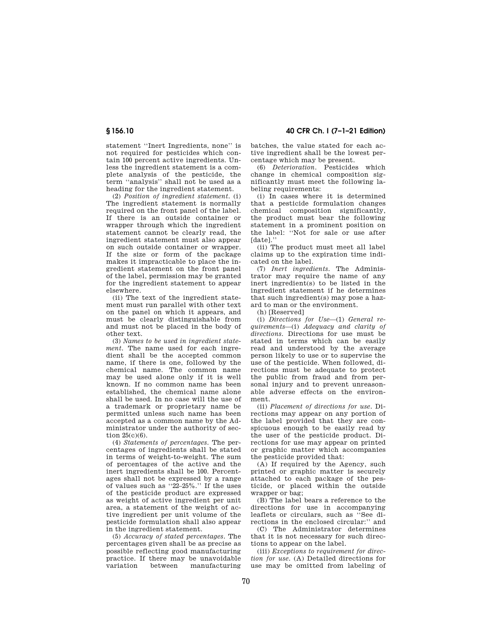statement ''Inert Ingredients, none'' is not required for pesticides which contain 100 percent active ingredients. Unless the ingredient statement is a complete analysis of the pesticide, the term ''analysis'' shall not be used as a heading for the ingredient statement.

(2) *Position of ingredient statement.* (i) The ingredient statement is normally required on the front panel of the label. If there is an outside container or wrapper through which the ingredient statement cannot be clearly read, the ingredient statement must also appear on such outside container or wrapper. If the size or form of the package makes it impracticable to place the ingredient statement on the front panel of the label, permission may be granted for the ingredient statement to appear elsewhere.

(ii) The text of the ingredient statement must run parallel with other text on the panel on which it appears, and must be clearly distinguishable from and must not be placed in the body of other text.

(3) *Names to be used in ingredient statement.* The name used for each ingredient shall be the accepted common name, if there is one, followed by the chemical name. The common name may be used alone only if it is well known. If no common name has been established, the chemical name alone shall be used. In no case will the use of a trademark or proprietary name be permitted unless such name has been accepted as a common name by the Administrator under the authority of section 25(c)(6).

(4) *Statements of percentages.* The percentages of ingredients shall be stated in terms of weight-to-weight. The sum of percentages of the active and the inert ingredients shall be 100. Percentages shall not be expressed by a range of values such as ''22–25%.'' If the uses of the pesticide product are expressed as weight of active ingredient per unit area, a statement of the weight of active ingredient per unit volume of the pesticide formulation shall also appear in the ingredient statement.

(5) *Accuracy of stated percentages.* The percentages given shall be as precise as possible reflecting good manufacturing practice. If there may be unavoidable manufacturing

**§ 156.10 40 CFR Ch. I (7–1–21 Edition)** 

batches, the value stated for each active ingredient shall be the lowest percentage which may be present.

(6) *Deterioration.* Pesticides which change in chemical composition significantly must meet the following labeling requirements:

(i) In cases where it is determined that a pesticide formulation changes chemical composition significantly, the product must bear the following statement in a prominent position on the label: ''Not for sale or use after [date].''

(ii) The product must meet all label claims up to the expiration time indicated on the label.

(7) *Inert ingredients.* The Administrator may require the name of any inert ingredient(s) to be listed in the ingredient statement if he determines that such ingredient(s) may pose a hazard to man or the environment.

(h) [Reserved]

(i) *Directions for Use*—(1) *General requirements*—(i) *Adequacy and clarity of directions.* Directions for use must be stated in terms which can be easily read and understood by the average person likely to use or to supervise the use of the pesticide. When followed, directions must be adequate to protect the public from fraud and from personal injury and to prevent unreasonable adverse effects on the environment.

(ii) *Placement of directions for use.* Directions may appear on any portion of the label provided that they are conspicuous enough to be easily read by the user of the pesticide product. Directions for use may appear on printed or graphic matter which accompanies the pesticide provided that:

(A) If required by the Agency, such printed or graphic matter is securely attached to each package of the pesticide, or placed within the outside wrapper or bag;

(B) The label bears a reference to the directions for use in accompanying leaflets or circulars, such as ''See directions in the enclosed circular:'' and

(C) The Administrator determines that it is not necessary for such directions to appear on the label.

(iii) *Exceptions to requirement for direction for use.* (A) Detailed directions for use may be omitted from labeling of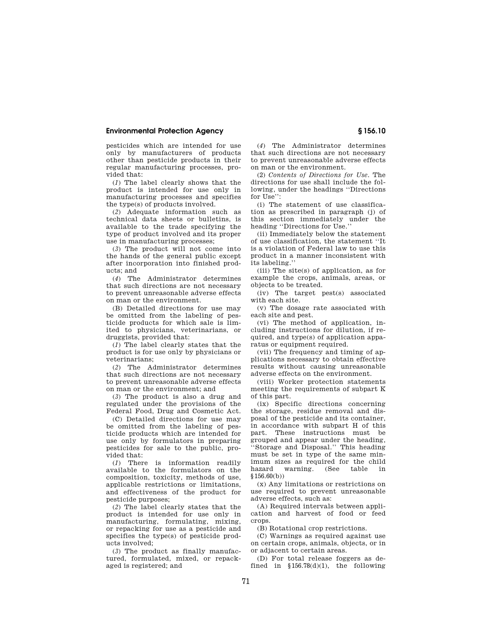pesticides which are intended for use only by manufacturers of products other than pesticide products in their regular manufacturing processes, provided that:

(*1*) The label clearly shows that the product is intended for use only in manufacturing processes and specifies the type(s) of products involved.

(*2*) Adequate information such as technical data sheets or bulletins, is available to the trade specifying the type of product involved and its proper use in manufacturing processes;

(*3*) The product will not come into the hands of the general public except after incorporation into finished products; and

(*4*) The Administrator determines that such directions are not necessary to prevent unreasonable adverse effects on man or the environment.

(B) Detailed directions for use may be omitted from the labeling of pesticide products for which sale is limited to physicians, veterinarians, or druggists, provided that:

(*1*) The label clearly states that the product is for use only by physicians or veterinarians;

(*2*) The Administrator determines that such directions are not necessary to prevent unreasonable adverse effects on man or the environment; and

(*3*) The product is also a drug and regulated under the provisions of the Federal Food, Drug and Cosmetic Act.

(C) Detailed directions for use may be omitted from the labeling of pesticide products which are intended for use only by formulators in preparing pesticides for sale to the public, provided that:

(*1*) There is information readily available to the formulators on the composition, toxicity, methods of use, applicable restrictions or limitations, and effectiveness of the product for pesticide purposes;

(*2*) The label clearly states that the product is intended for use only in manufacturing, formulating, mixing, or repacking for use as a pesticide and specifies the type(s) of pesticide products involved;

(*3*) The product as finally manufactured, formulated, mixed, or repackaged is registered; and

(*4*) The Administrator determines that such directions are not necessary to prevent unreasonable adverse effects on man or the environment.

(2) *Contents of Directions for Use.* The directions for use shall include the following, under the headings ''Directions for Use":

(i) The statement of use classification as prescribed in paragraph (j) of this section immediately under the heading ''Directions for Use.''

(ii) Immediately below the statement of use classification, the statement ''It is a violation of Federal law to use this product in a manner inconsistent with its labeling.''

(iii) The site(s) of application, as for example the crops, animals, areas, or objects to be treated.

(iv) The target pest(s) associated with each site.

(v) The dosage rate associated with each site and pest.

(vi) The method of application, including instructions for dilution, if required, and type(s) of application apparatus or equipment required.

(vii) The frequency and timing of applications necessary to obtain effective results without causing unreasonable adverse effects on the environment.

(viii) Worker protection statements meeting the requirements of subpart K of this part.

(ix) Specific directions concerning the storage, residue removal and disposal of the pesticide and its container, in accordance with subpart H of this part. These instructions must be grouped and appear under the heading, ''Storage and Disposal.'' This heading must be set in type of the same minimum sizes as required for the child (See table in §156.60(b))

(x) Any limitations or restrictions on use required to prevent unreasonable adverse effects, such as:

(A) Required intervals between application and harvest of food or feed crops.

(B) Rotational crop restrictions.

(C) Warnings as required against use on certain crops, animals, objects, or in or adjacent to certain areas.

(D) For total release foggers as defined in  $$156.78(d)(1)$ , the following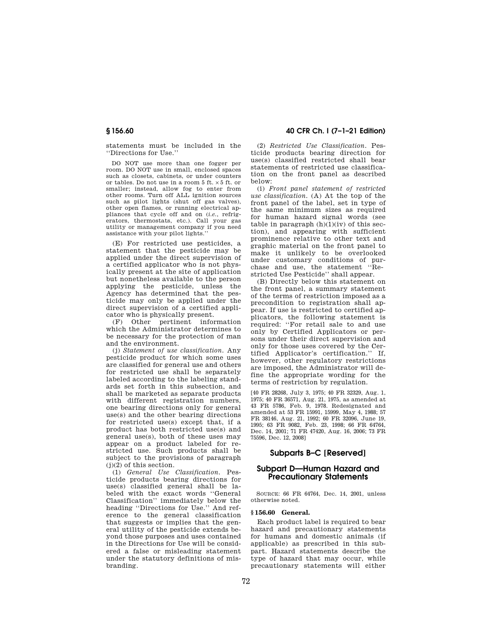statements must be included in the ''Directions for Use.''

DO NOT use more than one fogger per room. DO NOT use in small, enclosed spaces such as closets, cabinets, or under counters or tables. Do not use in a room 5 ft. × 5 ft. or smaller; instead, allow fog to enter from other rooms. Turn off ALL ignition sources such as pilot lights (shut off gas valves), other open flames, or running electrical appliances that cycle off and on (*i.e.*, refrigerators, thermostats, etc.). Call your gas utility or management company if you need assistance with your pilot lights.

(E) For restricted use pesticides, a statement that the pesticide may be applied under the direct supervision of a certified applicator who is not physically present at the site of application but nonetheless available to the person applying the pesticide, unless the Agency has determined that the pesticide may only be applied under the direct supervision of a certified applicator who is physically present.

(F) Other pertinent information which the Administrator determines to be necessary for the protection of man and the environment.

(j) *Statement of use classification.* Any pesticide product for which some uses are classified for general use and others for restricted use shall be separately labeled according to the labeling standards set forth in this subsection, and shall be marketed as separate products with different registration numbers, one bearing directions only for general use(s) and the other bearing directions for restricted use(s) except that, if a product has both restricted use(s) and general use(s), both of these uses may appear on a product labeled for restricted use. Such products shall be subject to the provisions of paragraph (j)(2) of this section.

(1) *General Use Classification.* Pesticide products bearing directions for use(s) classified general shall be labeled with the exact words ''General Classification'' immediately below the heading ''Directions for Use.'' And reference to the general classification that suggests or implies that the general utility of the pesticide extends beyond those purposes and uses contained in the Directions for Use will be considered a false or misleading statement under the statutory definitions of misbranding.

# **§ 156.60 40 CFR Ch. I (7–1–21 Edition)**

(2) *Restricted Use Classification.* Pesticide products bearing direction for use(s) classified restricted shall bear statements of restricted use classification on the front panel as described below:

(i) *Front panel statement of restricted use classification.* (A) At the top of the front panel of the label, set in type of the same minimum sizes as required for human hazard signal words (see table in paragraph  $(h)(1)(iv)$  of this section), and appearing with sufficient prominence relative to other text and graphic material on the front panel to make it unlikely to be overlooked under customary conditions of purchase and use, the statement ''Restricted Use Pesticide'' shall appear.

(B) Directly below this statement on the front panel, a summary statement of the terms of restriction imposed as a precondition to registration shall appear. If use is restricted to certified applicators, the following statement is required: ''For retail sale to and use only by Certified Applicators or persons under their direct supervision and only for those uses covered by the Certified Applicator's certification.'' If, however, other regulatory restrictions are imposed, the Administrator will define the appropriate wording for the terms of restriction by regulation.

[40 FR 28268, July 3, 1975; 40 FR 32329, Aug. 1, 1975; 40 FR 36571, Aug. 21, 1975, as amended at 43 FR 5786, Feb. 9, 1978. Redesignated and amended at 53 FR 15991, 15999, May 4, 1988; 57 FR 38146, Aug. 21, 1992; 60 FR 32096, June 19, 1995; 63 FR 9082, Feb. 23, 1998; 66 FR 64764, Dec. 14, 2001; 71 FR 47420, Aug. 16, 2006; 73 FR 75596, Dec. 12, 2008]

# **Subparts B–C [Reserved]**

# **Subpart D—Human Hazard and Precautionary Statements**

SOURCE: 66 FR 64764, Dec. 14, 2001, unless otherwise noted.

## **§ 156.60 General.**

Each product label is required to bear hazard and precautionary statements for humans and domestic animals (if applicable) as prescribed in this subpart. Hazard statements describe the type of hazard that may occur, while precautionary statements will either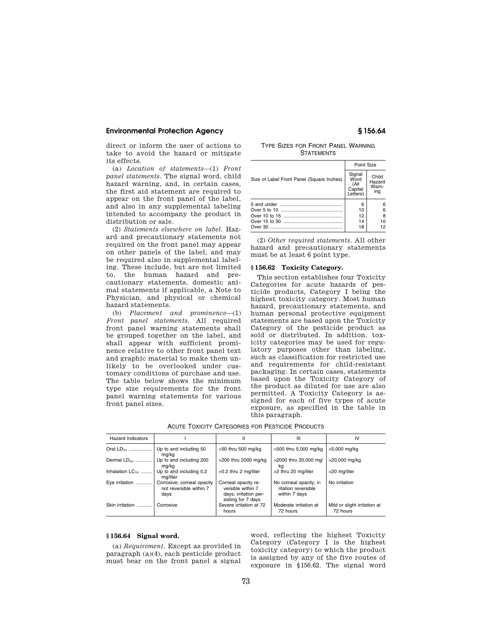direct or inform the user of actions to take to avoid the hazard or mitigate its effects.

(a) *Location of statements*—(1) *Front panel statements.* The signal word, child hazard warning, and, in certain cases, the first aid statement are required to appear on the front panel of the label, and also in any supplemental labeling intended to accompany the product in distribution or sale.

(2) *Statements elsewhere on label.* Hazard and precautionary statements not required on the front panel may appear on other panels of the label, and may be required also in supplemental labeling. These include, but are not limited to, the human hazard and precautionary statements, domestic animal statements if applicable, a Note to Physician, and physical or chemical hazard statements.

(b) *Placement and prominence*—(1) *Front panel statements.* All required front panel warning statements shall be grouped together on the label, and shall appear with sufficient prominence relative to other front panel text and graphic material to make them unlikely to be overlooked under customary conditions of purchase and use. The table below shows the minimum type size requirements for the front panel warning statements for various front panel sizes.

# TYPE SIZES FOR FRONT PANEL WARNING **STATEMENTS**

|                                           | Point Size                                    |                                 |
|-------------------------------------------|-----------------------------------------------|---------------------------------|
| Size of Label Front Panel (Square Inches) | Signal<br>Word<br>(All<br>Capital<br>Letters) | Child<br>Hazard<br>Warn-<br>ing |
|                                           | 6<br>10                                       | 6<br>6                          |
|                                           | 12                                            | 8                               |
|                                           | 14                                            | 10                              |
|                                           | 18                                            | 12                              |

(2) *Other required statements.* All other hazard and precautionary statements must be at least 6 point type.

# **§ 156.62 Toxicity Category.**

This section establishes four Toxicity Categories for acute hazards of pesticide products, Category I being the highest toxicity category. Most human hazard, precautionary statements, and human personal protective equipment statements are based upon the Toxicity Category of the pesticide product as sold or distributed. In addition, toxicity categories may be used for regulatory purposes other than labeling, such as classification for restricted use and requirements for child-resistant packaging. In certain cases, statements based upon the Toxicity Category of the product as diluted for use are also permitted. A Toxicity Category is assigned for each of five types of acute exposure, as specified in the table in this paragraph.

| <b>Hazard Indicators</b> |                                                               | Ш                                                                                       | Ш                                                               | IV                                       |
|--------------------------|---------------------------------------------------------------|-----------------------------------------------------------------------------------------|-----------------------------------------------------------------|------------------------------------------|
| Oral $LD_{50}$           | Up to and including 50<br>ma/ka                               | >50 thru 500 mg/kg                                                                      | >500 thru 5,000 mg/kg                                           | >5,000 mg/kg                             |
| Dermal $LD_{50}$         | Up to and including 200<br>ma/ka                              | >200 thru 2000 mg/kg                                                                    | >2000 thru 20,000 mg/<br>kq                                     | >20,000 mg/kg                            |
| Inhalation $LC_{50}$     | Up to and including 0.2<br>ma/liter                           | >0.2 thru 2 mg/liter                                                                    | >2 thru 20 mg/liter                                             | >20 mg/liter                             |
| Eye irritation           | Corrosive; corneal opacity<br>not reversible within 7<br>days | Corneal opacity re-<br>versible within 7<br>days; irritation per-<br>sisting for 7 days | No corneal opacity; ir-<br>ritation reversible<br>within 7 days | No irritation                            |
| Skin irritation          | Corrosive                                                     | Severe irritation at 72<br>hours                                                        | Moderate irritation at<br>72 hours                              | Mild or slight irritation at<br>72 hours |

ACUTE TOXICITY CATEGORIES FOR PESTICIDE PRODUCTS

# **§ 156.64 Signal word.**

(a) *Requirement.* Except as provided in paragraph (a)(4), each pesticide product must bear on the front panel a signal

word, reflecting the highest Toxicity Category (Category I is the highest toxicity category) to which the product is assigned by any of the five routes of exposure in §156.62. The signal word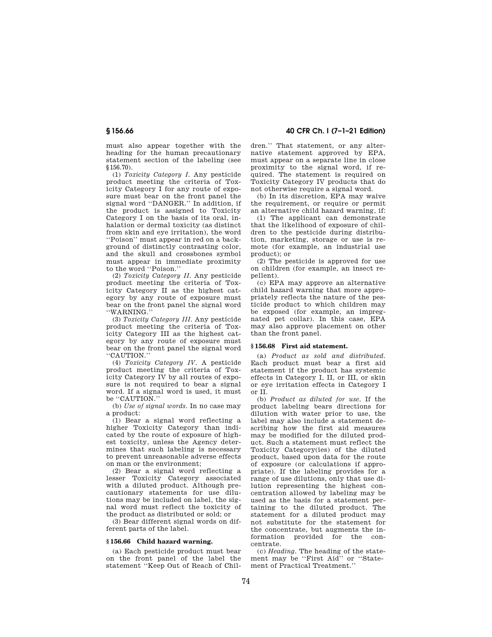must also appear together with the heading for the human precautionary statement section of the labeling (see §156.70).

(1) *Toxicity Category I.* Any pesticide product meeting the criteria of Toxicity Category I for any route of exposure must bear on the front panel the signal word ''DANGER.'' In addition, if the product is assigned to Toxicity Category I on the basis of its oral, inhalation or dermal toxicity (as distinct from skin and eye irritation), the word ''Poison'' must appear in red on a background of distinctly contrasting color, and the skull and crossbones symbol must appear in immediate proximity to the word ''Poison.''

(2) *Toxicity Category II.* Any pesticide product meeting the criteria of Toxicity Category II as the highest category by any route of exposure must bear on the front panel the signal word ''WARNING.''

(3) *Toxicity Category III.* Any pesticide product meeting the criteria of Toxicity Category III as the highest category by any route of exposure must bear on the front panel the signal word ''CAUTION.''

(4) *Toxicity Category IV.* A pesticide product meeting the criteria of Toxicity Category IV by all routes of exposure is not required to bear a signal word. If a signal word is used, it must be "CAUTION."

(b) *Use of signal words.* In no case may a product:

(1) Bear a signal word reflecting a higher Toxicity Category than indicated by the route of exposure of highest toxicity, unless the Agency determines that such labeling is necessary to prevent unreasonable adverse effects on man or the environment;

(2) Bear a signal word reflecting a lesser Toxicity Category associated with a diluted product. Although precautionary statements for use dilutions may be included on label, the signal word must reflect the toxicity of the product as distributed or sold; or

(3) Bear different signal words on different parts of the label.

## **§ 156.66 Child hazard warning.**

(a) Each pesticide product must bear on the front panel of the label the statement ''Keep Out of Reach of Chil-

**§ 156.66 40 CFR Ch. I (7–1–21 Edition)** 

dren.'' That statement, or any alternative statement approved by EPA, must appear on a separate line in close proximity to the signal word, if required. The statement is required on Toxicity Category IV products that do not otherwise require a signal word.

(b) In its discretion, EPA may waive the requirement, or require or permit an alternative child hazard warning, if:

(1) The applicant can demonstrate that the likelihood of exposure of children to the pesticide during distribution, marketing, storage or use is remote (for example, an industrial use product); or

(2) The pesticide is approved for use on children (for example, an insect repellent).

(c) EPA may approve an alternative child hazard warning that more appropriately reflects the nature of the pesticide product to which children may be exposed (for example, an impregnated pet collar). In this case, EPA may also approve placement on other than the front panel.

## **§ 156.68 First aid statement.**

(a) *Product as sold and distributed.*  Each product must bear a first aid statement if the product has systemic effects in Category I, II, or III, or skin or eye irritation effects in Category I or II.

(b) *Product as diluted for use.* If the product labeling bears directions for dilution with water prior to use, the label may also include a statement describing how the first aid measures may be modified for the diluted product. Such a statement must reflect the Toxicity Category(ies) of the diluted product, based upon data for the route of exposure (or calculations if appropriate). If the labeling provides for a range of use dilutions, only that use dilution representing the highest concentration allowed by labeling may be used as the basis for a statement pertaining to the diluted product. The statement for a diluted product may not substitute for the statement for the concentrate, but augments the information provided for the concentrate.

(c) *Heading.* The heading of the statement may be ''First Aid'' or ''Statement of Practical Treatment.''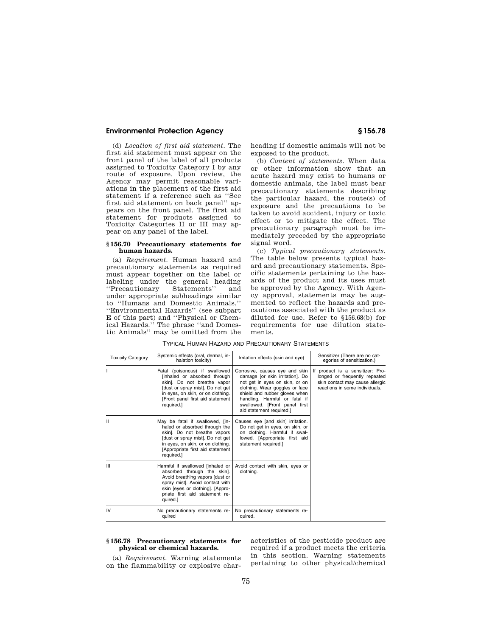(d) *Location of first aid statement.* The first aid statement must appear on the front panel of the label of all products assigned to Toxicity Category I by any route of exposure. Upon review, the Agency may permit reasonable variations in the placement of the first aid statement if a reference such as ''See first aid statement on back panel'' appears on the front panel. The first aid statement for products assigned to Toxicity Categories II or III may appear on any panel of the label.

#### **§ 156.70 Precautionary statements for human hazards.**

(a) *Requirement.* Human hazard and precautionary statements as required must appear together on the label or labeling under the general heading<br>"Precautionary Statements" and ''Precautionary Statements'' and under appropriate subheadings similar to ''Humans and Domestic Animals,'' ''Environmental Hazards'' (see subpart E of this part) and ''Physical or Chemical Hazards.'' The phrase ''and Domestic Animals'' may be omitted from the

heading if domestic animals will not be exposed to the product.

(b) *Content of statements.* When data or other information show that an acute hazard may exist to humans or domestic animals, the label must bear precautionary statements describing the particular hazard, the route(s) of exposure and the precautions to be taken to avoid accident, injury or toxic effect or to mitigate the effect. The precautionary paragraph must be immediately preceded by the appropriate signal word.

(c) *Typical precautionary statements.*  The table below presents typical hazard and precautionary statements. Specific statements pertaining to the hazards of the product and its uses must be approved by the Agency. With Agency approval, statements may be augmented to reflect the hazards and precautions associated with the product as diluted for use. Refer to §156.68(b) for requirements for use dilution statements.

| <b>Toxicity Category</b> | Systemic effects (oral, dermal, in-<br>halation toxicity)                                                                                                                                                                    | Irritation effects (skin and eye)                                                                                                                                                                                                                                    | Sensitizer (There are no cat-<br>egories of sensitization.)                                                                            |
|--------------------------|------------------------------------------------------------------------------------------------------------------------------------------------------------------------------------------------------------------------------|----------------------------------------------------------------------------------------------------------------------------------------------------------------------------------------------------------------------------------------------------------------------|----------------------------------------------------------------------------------------------------------------------------------------|
|                          | Fatal (poisonous) if swallowed<br>[inhaled or absorbed through ]<br>skin]. Do not breathe vapor<br>[dust or spray mist]. Do not get<br>in eyes, on skin, or on clothing.<br>[Front panel first aid statement<br>required.]   | Corrosive, causes eye and skin<br>damage [or skin irritation]. Do<br>not get in eyes on skin, or on<br>clothing. Wear goggles or face<br>shield and rubber gloves when<br>handling. Harmful or fatal if<br>swallowed. [Front panel first<br>aid statement required.] | If product is a sensitizer: Pro-<br>longed or frequently repeated<br>skin contact may cause allergic<br>reactions in some individuals. |
| Ш                        | May be fatal if swallowed, [in-<br>haled or absorbed through the<br>skin]. Do not breathe vapors<br>[dust or spray mist]. Do not get<br>in eyes, on skin, or on clothing.<br>[Appropriate first aid statement]<br>required.] | Causes eye [and skin] irritation.<br>Do not get in eyes, on skin, or<br>on clothing. Harmful if swal-<br>lowed. [Appropriate first aid<br>statement required.]                                                                                                       |                                                                                                                                        |
| III                      | Harmful if swallowed linhaled or I<br>absorbed through the skin].<br>Avoid breathing vapors [dust or<br>spray mist]. Avoid contact with<br>skin [eyes or clothing]. [Appro-<br>priate first aid statement re-<br>quired.]    | Avoid contact with skin, eyes or<br>clothing.                                                                                                                                                                                                                        |                                                                                                                                        |
| IV                       | No precautionary statements re-<br>quired                                                                                                                                                                                    | No precautionary statements re-<br>quired.                                                                                                                                                                                                                           |                                                                                                                                        |

TYPICAL HUMAN HAZARD AND PRECAUTIONARY STATEMENTS

### **§ 156.78 Precautionary statements for physical or chemical hazards.**

(a) *Requirement.* Warning statements on the flammability or explosive characteristics of the pesticide product are required if a product meets the criteria in this section. Warning statements pertaining to other physical/chemical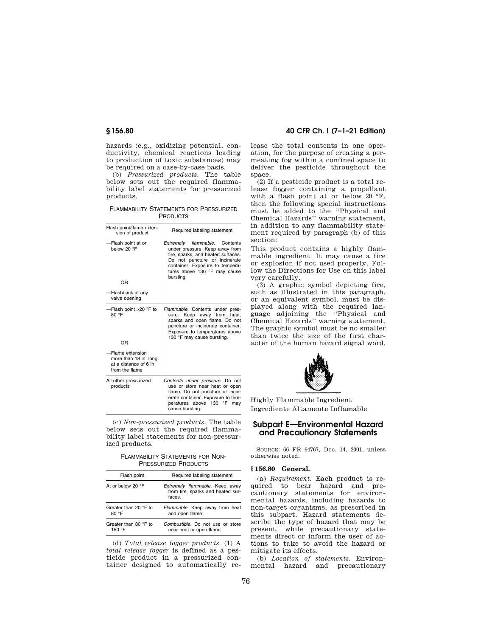hazards (e.g., oxidizing potential, conductivity, chemical reactions leading to production of toxic substances) may be required on a case-by-case basis.

(b) *Pressurized products.* The table below sets out the required flammability label statements for pressurized products.

FLAMMABILITY STATEMENTS FOR PRESSURIZED **PRODUCTS** 

| Flash point/flame exten-<br>sion of product                                         | Required labeling statement                                                                                                                                                                                               |
|-------------------------------------------------------------------------------------|---------------------------------------------------------------------------------------------------------------------------------------------------------------------------------------------------------------------------|
| -Flash point at or<br>below 20 °F<br>OR                                             | flammable. Contents<br>Extremelv<br>under pressure. Keep away from<br>fire, sparks, and heated surfaces.<br>Do not puncture or incinerate<br>container. Exposure to tempera-<br>tures above 130 °F may cause<br>bursting. |
| -Flashback at any<br>valve opening                                                  |                                                                                                                                                                                                                           |
| -Flash point >20 °F to<br>80 °F<br>OR                                               | Flammable. Contents under pres-<br>sure. Keep away from heat,<br>sparks and open flame. Do not<br>puncture or incinerate container.<br>Exposure to temperatures above<br>130 °F may cause bursting.                       |
| Flame extension<br>more than 18 in. long<br>at a distance of 6 in<br>from the flame |                                                                                                                                                                                                                           |
| All other pressurized<br>products                                                   | Contents under pressure. Do not<br>use or store near heat or open<br>flame. Do not puncture or incin-<br>erate container. Exposure to tem-<br>peratures above 130 °F<br>may<br>cause bursting.                            |

(c) *Non-pressurized products.* The table below sets out the required flammability label statements for non-pressurized products.

FLAMMABILITY STATEMENTS FOR NON-PRESSURIZED PRODUCTS

| Flash point                     | Required labeling statement                                                   |  |
|---------------------------------|-------------------------------------------------------------------------------|--|
| At or below 20 $\degree$ F      | Extremely flammable. Keep away<br>from fire, sparks and heated sur-<br>faces. |  |
| Greater than 20 °F to<br>80 °F  | Flammable. Keep away from heat<br>and open flame.                             |  |
| Greater than 80 °F to<br>150 °F | Combustible. Do not use or store<br>near heat or open flame.                  |  |

(d) *Total release fogger products.* (1) A *total release fogger* is defined as a pesticide product in a pressurized container designed to automatically re-

# **§ 156.80 40 CFR Ch. I (7–1–21 Edition)**

lease the total contents in one operation, for the purpose of creating a permeating fog within a confined space to deliver the pesticide throughout the space.

(2) If a pesticide product is a total release fogger containing a propellant with a flash point at or below 20 °F. then the following special instructions must be added to the ''Physical and Chemical Hazards'' warning statement, in addition to any flammability statement required by paragraph (b) of this section:

This product contains a highly flammable ingredient. It may cause a fire or explosion if not used properly. Follow the Directions for Use on this label very carefully.

(3) A graphic symbol depicting fire, such as illustrated in this paragraph, or an equivalent symbol, must be displayed along with the required language adjoining the ''Physical and Chemical Hazards'' warning statement. The graphic symbol must be no smaller than twice the size of the first character of the human hazard signal word.



Highly Flammable Ingredient Ingrediente Altamente Inflamable

# **Subpart E—Environmental Hazard and Precautionary Statements**

SOURCE: 66 FR 64767, Dec. 14, 2001, unless otherwise noted.

### **§ 156.80 General.**

(a) *Requirement.* Each product is required to bear hazard and precautionary statements for environmental hazards, including hazards to non-target organisms, as prescribed in this subpart. Hazard statements describe the type of hazard that may be present, while precautionary statements direct or inform the user of actions to take to avoid the hazard or mitigate its effects.

(b) *Location of statements.* Environmental hazard and precautionary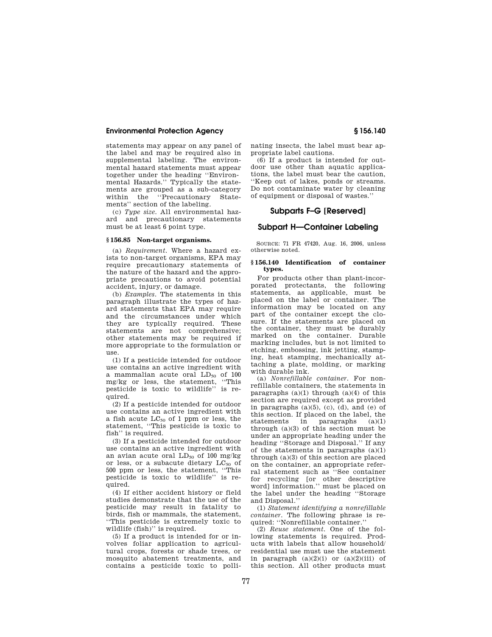statements may appear on any panel of the label and may be required also in supplemental labeling. The environmental hazard statements must appear together under the heading ''Environmental Hazards.'' Typically the statements are grouped as a sub-category within the ''Precautionary Statements'' section of the labeling.

(c) *Type size.* All environmental hazard and precautionary statements must be at least 6 point type.

## **§ 156.85 Non-target organisms.**

(a) *Requirement.* Where a hazard exists to non-target organisms, EPA may require precautionary statements of the nature of the hazard and the appropriate precautions to avoid potential accident, injury, or damage.

(b) *Examples.* The statements in this paragraph illustrate the types of hazard statements that EPA may require and the circumstances under which they are typically required. These statements are not comprehensive; other statements may be required if more appropriate to the formulation or use.

(1) If a pesticide intended for outdoor use contains an active ingredient with a mammalian acute oral  $LD_{50}$  of 100 mg/kg or less, the statement, ''This pesticide is toxic to wildlife'' is required.

(2) If a pesticide intended for outdoor use contains an active ingredient with a fish acute  $LC_{50}$  of 1 ppm or less, the statement, ''This pesticide is toxic to fish'' is required.

(3) If a pesticide intended for outdoor use contains an active ingredient with an avian acute oral  $LD_{50}$  of 100 mg/kg or less, or a subacute dietary  $LC_{50}$  of 500 ppm or less, the statement, ''This pesticide is toxic to wildlife'' is required.

(4) If either accident history or field studies demonstrate that the use of the pesticide may result in fatality to birds, fish or mammals, the statement, ''This pesticide is extremely toxic to wildlife (fish)'' is required.

(5) If a product is intended for or involves foliar application to agricultural crops, forests or shade trees, or mosquito abatement treatments, and contains a pesticide toxic to pollinating insects, the label must bear appropriate label cautions.

(6) If a product is intended for outdoor use other than aquatic applications, the label must bear the caution, ''Keep out of lakes, ponds or streams. Do not contaminate water by cleaning of equipment or disposal of wastes.''

# **Subparts F–G [Reserved]**

## **Subpart H—Container Labeling**

SOURCE: 71 FR 47420, Aug. 16, 2006, unless otherwise noted.

#### **§ 156.140 Identification of container types.**

For products other than plant-incorporated protectants, the following statements, as applicable, must be placed on the label or container. The information may be located on any part of the container except the closure. If the statements are placed on the container, they must be durably marked on the container. Durable marking includes, but is not limited to etching, embossing, ink jetting, stamping, heat stamping, mechanically attaching a plate, molding, or marking with durable ink.

(a) *Nonrefillable container.* For nonrefillable containers, the statements in paragraphs  $(a)(1)$  through  $(a)(4)$  of this section are required except as provided in paragraphs (a)(5), (c), (d), and (e) of this section. If placed on the label, the statements in paragraphs (a)(1) through  $(a)(3)$  of this section must be under an appropriate heading under the heading ''Storage and Disposal.'' If any of the statements in paragraphs  $(a)(1)$ through (a)(3) of this section are placed on the container, an appropriate referral statement such as ''See container for recycling [or other descriptive word] information.'' must be placed on the label under the heading ''Storage and Disposal.''

(1) *Statement identifying a nonrefillable container.* The following phrase is required: ''Nonrefillable container.''

(2) *Reuse statement.* One of the following statements is required. Products with labels that allow household/ residential use must use the statement in paragraph  $(a)(2)(i)$  or  $(a)(2)(iii)$  of this section. All other products must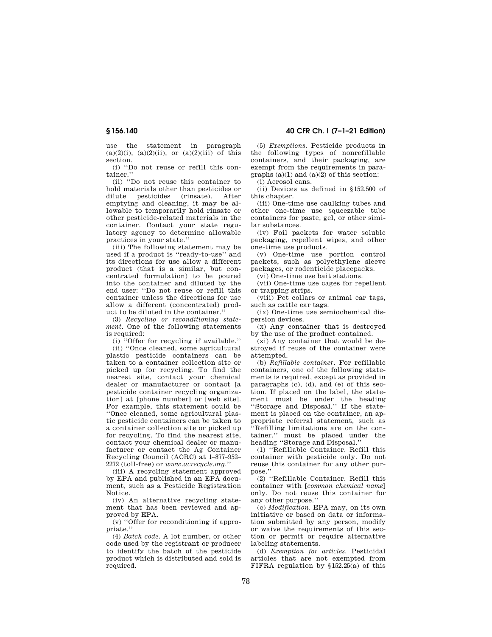use the statement in paragraph  $(a)(2)(i)$ ,  $(a)(2)(ii)$ , or  $(a)(2)(iii)$  of this section.

(i) ''Do not reuse or refill this container.''

(ii) ''Do not reuse this container to hold materials other than pesticides or dilute pesticides (rinsate). After emptying and cleaning, it may be allowable to temporarily hold rinsate or other pesticide-related materials in the container. Contact your state regulatory agency to determine allowable practices in your state.''

(iii) The following statement may be used if a product is ''ready-to-use'' and its directions for use allow a different product (that is a similar, but concentrated formulation) to be poured into the container and diluted by the end user: ''Do not reuse or refill this container unless the directions for use allow a different (concentrated) product to be diluted in the container.''

(3) *Recycling or reconditioning statement.* One of the following statements is required:

(i) ''Offer for recycling if available.''

(ii) ''Once cleaned, some agricultural plastic pesticide containers can be taken to a container collection site or picked up for recycling. To find the nearest site, contact your chemical dealer or manufacturer or contact [a pesticide container recycling organization] at [phone number] or [web site]. For example, this statement could be ''Once cleaned, some agricultural plastic pesticide containers can be taken to a container collection site or picked up for recycling. To find the nearest site, contact your chemical dealer or manufacturer or contact the Ag Container Recycling Council (ACRC) at 1–877–952– 2272 (toll-free) or *www.acrecycle.org.*''

(iii) A recycling statement approved by EPA and published in an EPA document, such as a Pesticide Registration Notice.

(iv) An alternative recycling statement that has been reviewed and approved by EPA.

(v) ''Offer for reconditioning if appropriate.''

(4) *Batch code.* A lot number, or other code used by the registrant or producer to identify the batch of the pesticide product which is distributed and sold is required

**§ 156.140 40 CFR Ch. I (7–1–21 Edition)** 

(5) *Exemptions.* Pesticide products in the following types of nonrefillable containers, and their packaging, are exempt from the requirements in paragraphs  $(a)(1)$  and  $(a)(2)$  of this section:

(i) Aerosol cans.

(ii) Devices as defined in §152.500 of this chapter.

(iii) One-time use caulking tubes and other one-time use squeezable tube containers for paste, gel, or other similar substances.

(iv) Foil packets for water soluble packaging, repellent wipes, and other one-time use products.

(v) One-time use portion control packets, such as polyethylene sleeve packages, or rodenticide placepacks.

(vi) One-time use bait stations.

(vii) One-time use cages for repellent or trapping strips.

(viii) Pet collars or animal ear tags, such as cattle ear tags.

(ix) One-time use semiochemical dispersion devices.

(x) Any container that is destroyed by the use of the product contained.

(xi) Any container that would be destroyed if reuse of the container were attempted.

(b) *Refillable container.* For refillable containers, one of the following statements is required, except as provided in paragraphs (c), (d), and (e) of this section. If placed on the label, the statement must be under the heading ''Storage and Disposal.'' If the statement is placed on the container, an appropriate referral statement, such as ''Refilling limitations are on the container.'' must be placed under the heading ''Storage and Disposal.''

(1) ''Refillable Container. Refill this container with pesticide only. Do not reuse this container for any other purpose.''

(2) ''Refillable Container. Refill this container with [*common chemical name*] only. Do not reuse this container for any other purpose.''

(c) *Modification.* EPA may, on its own initiative or based on data or information submitted by any person, modify or waive the requirements of this section or permit or require alternative labeling statements.

(d) *Exemption for articles.* Pesticidal articles that are not exempted from FIFRA regulation by  $$152.25(a)$  of this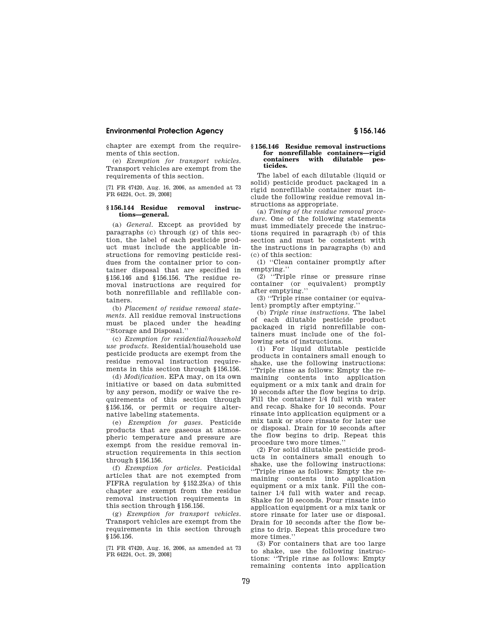chapter are exempt from the requirements of this section.

(e) *Exemption for transport vehicles.*  Transport vehicles are exempt from the requirements of this section.

[71 FR 47420, Aug. 16, 2006, as amended at 73 FR 64224, Oct. 29, 2008]

#### **§ 156.144 Residue removal instructions—general.**

(a) *General.* Except as provided by paragraphs (c) through (g) of this section, the label of each pesticide product must include the applicable instructions for removing pesticide residues from the container prior to container disposal that are specified in §156.146 and §156.156. The residue removal instructions are required for both nonrefillable and refillable containers.

(b) *Placement of residue removal statements.* All residue removal instructions must be placed under the heading ''Storage and Disposal.''

(c) *Exemption for residential/household use products.* Residential/household use pesticide products are exempt from the residue removal instruction requirements in this section through §156.156.

(d) *Modification.* EPA may, on its own initiative or based on data submitted by any person, modify or waive the requirements of this section through §156.156, or permit or require alternative labeling statements.

(e) *Exemption for gases.* Pesticide products that are gaseous at atmospheric temperature and pressure are exempt from the residue removal instruction requirements in this section through §156.156.

(f) *Exemption for articles.* Pesticidal articles that are not exempted from FIFRA regulation by §152.25(a) of this chapter are exempt from the residue removal instruction requirements in this section through §156.156.

(g) *Exemption for transport vehicles.*  Transport vehicles are exempt from the requirements in this section through §156.156.

[71 FR 47420, Aug. 16, 2006, as amended at 73 FR 64224, Oct. 29, 2008]

#### **§ 156.146 Residue removal instructions for nonrefillable containers—rigid containers with dilutable pesticides.**

The label of each dilutable (liquid or solid) pesticide product packaged in a rigid nonrefillable container must include the following residue removal instructions as appropriate.

(a) *Timing of the residue removal procedure.* One of the following statements must immediately precede the instructions required in paragraph (b) of this section and must be consistent with the instructions in paragraphs (b) and (c) of this section:

(1) ''Clean container promptly after emptying.''

(2) ''Triple rinse or pressure rinse container (or equivalent) promptly after emptying.''

(3) ''Triple rinse container (or equivalent) promptly after emptying.''

(b) *Triple rinse instructions.* The label of each dilutable pesticide product packaged in rigid nonrefillable containers must include one of the following sets of instructions.

(1) For liquid dilutable pesticide products in containers small enough to shake, use the following instructions: ''Triple rinse as follows: Empty the remaining contents into application equipment or a mix tank and drain for 10 seconds after the flow begins to drip. Fill the container 1/4 full with water and recap. Shake for 10 seconds. Pour rinsate into application equipment or a mix tank or store rinsate for later use or disposal. Drain for 10 seconds after the flow begins to drip. Repeat this procedure two more times.''

(2) For solid dilutable pesticide products in containers small enough to shake, use the following instructions: ''Triple rinse as follows: Empty the remaining contents into application equipment or a mix tank. Fill the container 1/4 full with water and recap. Shake for 10 seconds. Pour rinsate into application equipment or a mix tank or store rinsate for later use or disposal. Drain for 10 seconds after the flow begins to drip. Repeat this procedure two more times.''

(3) For containers that are too large to shake, use the following instructions: ''Triple rinse as follows: Empty remaining contents into application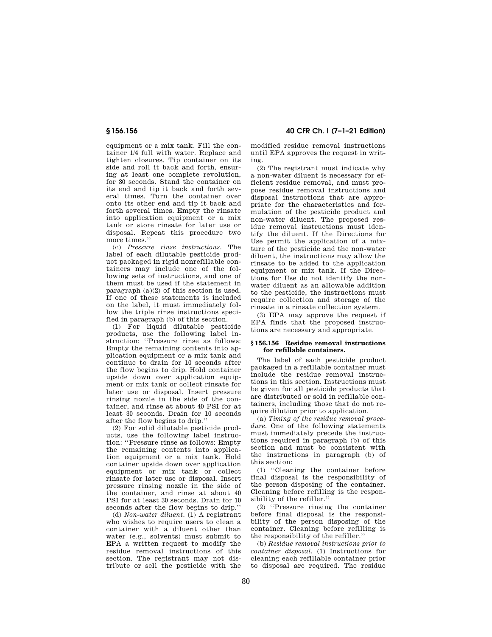equipment or a mix tank. Fill the container 1/4 full with water. Replace and tighten closures. Tip container on its side and roll it back and forth, ensuring at least one complete revolution, for 30 seconds. Stand the container on its end and tip it back and forth several times. Turn the container over onto its other end and tip it back and forth several times. Empty the rinsate into application equipment or a mix tank or store rinsate for later use or disposal. Repeat this procedure two more times.''

(c) *Pressure rinse instructions.* The label of each dilutable pesticide product packaged in rigid nonrefillable containers may include one of the following sets of instructions, and one of them must be used if the statement in paragraph (a)(2) of this section is used. If one of these statements is included on the label, it must immediately follow the triple rinse instructions specified in paragraph (b) of this section.

(1) For liquid dilutable pesticide products, use the following label instruction: ''Pressure rinse as follows: Empty the remaining contents into application equipment or a mix tank and continue to drain for 10 seconds after the flow begins to drip. Hold container upside down over application equipment or mix tank or collect rinsate for later use or disposal. Insert pressure rinsing nozzle in the side of the container, and rinse at about 40 PSI for at least 30 seconds. Drain for 10 seconds after the flow begins to drip.''

(2) For solid dilutable pesticide products, use the following label instruction: ''Pressure rinse as follows: Empty the remaining contents into application equipment or a mix tank. Hold container upside down over application equipment or mix tank or collect rinsate for later use or disposal. Insert pressure rinsing nozzle in the side of the container, and rinse at about 40 PSI for at least 30 seconds. Drain for 10 seconds after the flow begins to drip.''

(d) *Non-water diluent.* (1) A registrant who wishes to require users to clean a container with a diluent other than water (e.g., solvents) must submit to EPA a written request to modify the residue removal instructions of this section. The registrant may not distribute or sell the pesticide with the

**§ 156.156 40 CFR Ch. I (7–1–21 Edition)** 

modified residue removal instructions until EPA approves the request in writing.

(2) The registrant must indicate why a non-water diluent is necessary for efficient residue removal, and must propose residue removal instructions and disposal instructions that are appropriate for the characteristics and formulation of the pesticide product and non-water diluent. The proposed residue removal instructions must identify the diluent. If the Directions for Use permit the application of a mixture of the pesticide and the non-water diluent, the instructions may allow the rinsate to be added to the application equipment or mix tank. If the Directions for Use do not identify the nonwater diluent as an allowable addition to the pesticide, the instructions must require collection and storage of the rinsate in a rinsate collection system.

(3) EPA may approve the request if EPA finds that the proposed instructions are necessary and appropriate.

#### **§ 156.156 Residue removal instructions for refillable containers.**

The label of each pesticide product packaged in a refillable container must include the residue removal instructions in this section. Instructions must be given for all pesticide products that are distributed or sold in refillable containers, including those that do not require dilution prior to application.

(a) *Timing of the residue removal procedure.* One of the following statements must immediately precede the instructions required in paragraph (b) of this section and must be consistent with the instructions in paragraph (b) of this section:

(1) ''Cleaning the container before final disposal is the responsibility of the person disposing of the container. Cleaning before refilling is the responsibility of the refiller.''

(2) ''Pressure rinsing the container before final disposal is the responsibility of the person disposing of the container. Cleaning before refilling is the responsibility of the refiller.''

(b) *Residue removal instructions prior to container disposal.* (1) Instructions for cleaning each refillable container prior to disposal are required. The residue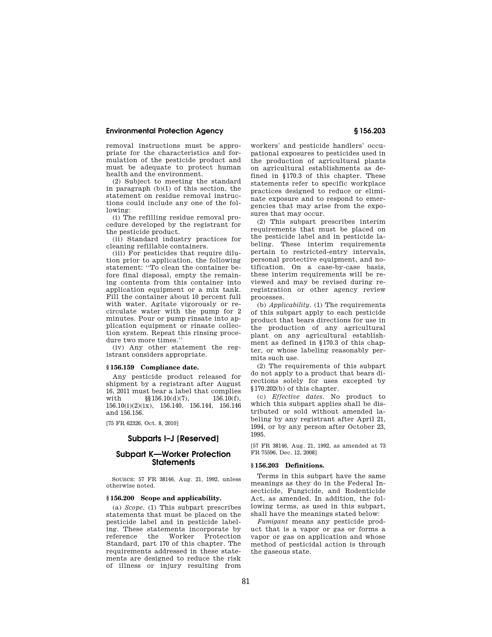removal instructions must be appropriate for the characteristics and formulation of the pesticide product and must be adequate to protect human health and the environment.

(2) Subject to meeting the standard in paragraph (b)(1) of this section, the statement on residue removal instructions could include any one of the following:

(i) The refilling residue removal procedure developed by the registrant for the pesticide product.

(ii) Standard industry practices for cleaning refillable containers.

(iii) For pesticides that require dilution prior to application, the following statement: ''To clean the container before final disposal, empty the remaining contents from this container into application equipment or a mix tank. Fill the container about 10 percent full with water. Agitate vigorously or recirculate water with the pump for 2 minutes. Pour or pump rinsate into application equipment or rinsate collection system. Repeat this rinsing procedure two more times.''

(iv) Any other statement the registrant considers appropriate.

### **§ 156.159 Compliance date.**

Any pesticide product released for shipment by a registrant after August 16, 2011 must bear a label that complies with  $\S$ [0.10(d)(7), 156.10(f), 156.10(i)(2)(ix), 156.140, 156.144, 156.146 and 156.156.

[75 FR 62326, Oct. 8, 2010]

## **Subparts I–J [Reserved]**

# **Subpart K—Worker Protection Statements**

SOURCE: 57 FR 38146, Aug. 21, 1992, unless otherwise noted.

# **§ 156.200 Scope and applicability.**

(a) *Scope.* (1) This subpart prescribes statements that must be placed on the pesticide label and in pesticide labeling. These statements incorporate by reference the Worker Protection Standard, part 170 of this chapter. The requirements addressed in these statements are designed to reduce the risk of illness or injury resulting from

workers' and pesticide handlers' occupational exposures to pesticides used in the production of agricultural plants on agricultural establishments as defined in §170.3 of this chapter. These statements refer to specific workplace practices designed to reduce or eliminate exposure and to respond to emergencies that may arise from the exposures that may occur.

(2) This subpart prescribes interim requirements that must be placed on the pesticide label and in pesticide labeling. These interim requirements pertain to restricted-entry intervals, personal protective equipment, and notification. On a case-by-case basis, these interim requirements will be reviewed and may be revised during reregistration or other agency review processes.

(b) *Applicability.* (1) The requirements of this subpart apply to each pesticide product that bears directions for use in the production of any agricultural plant on any agricultural establishment as defined in §170.3 of this chapter, or whose labeling reasonably permits such use.

(2) The requirements of this subpart do not apply to a product that bears directions solely for uses excepted by §170.202(b) of this chapter.

(c) *Effective dates.* No product to which this subpart applies shall be distributed or sold without amended labeling by any registrant after April 21, 1994, or by any person after October 23, 1995.

[57 FR 38146, Aug. 21, 1992, as amended at 73 FR 75596, Dec. 12, 2008]

#### **§ 156.203 Definitions.**

Terms in this subpart have the same meanings as they do in the Federal Insecticide, Fungicide, and Rodenticide Act, as amended. In addition, the following terms, as used in this subpart, shall have the meanings stated below:

*Fumigant* means any pesticide product that is a vapor or gas or forms a vapor or gas on application and whose method of pesticidal action is through the gaseous state.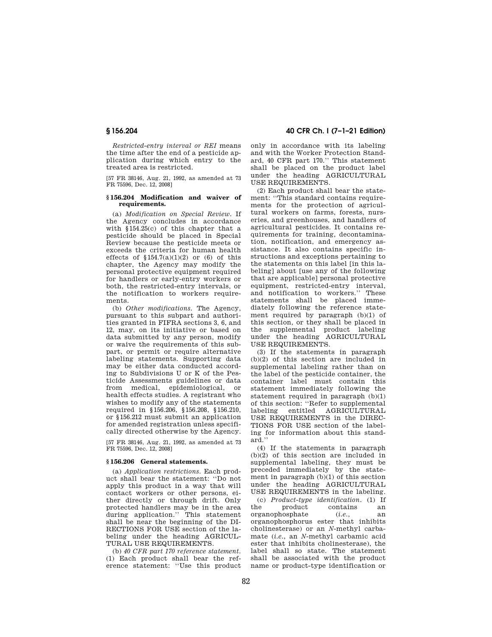*Restricted-entry interval or REI* means the time after the end of a pesticide application during which entry to the treated area is restricted.

[57 FR 38146, Aug. 21, 1992, as amended at 73 FR 75596, Dec. 12, 2008]

## **§ 156.204 Modification and waiver of requirements.**

(a) *Modification on Special Review.* If the Agency concludes in accordance with §154.25(c) of this chapter that a pesticide should be placed in Special Review because the pesticide meets or exceeds the criteria for human health effects of  $$154.7(a)(1)(2)$  or (6) of this chapter, the Agency may modify the personal protective equipment required for handlers or early-entry workers or both, the restricted-entry intervals, or the notification to workers requirements.

(b) *Other modifications.* The Agency, pursuant to this subpart and authorities granted in FIFRA sections 3, 6, and 12, may, on its initiative or based on data submitted by any person, modify or waive the requirements of this subpart, or permit or require alternative labeling statements. Supporting data may be either data conducted according to Subdivisions U or K of the Pesticide Assessments guidelines or data from medical, epidemiological, or health effects studies. A registrant who wishes to modify any of the statements required in §156.206, §156.208, §156.210, or §156.212 must submit an application for amended registration unless specifically directed otherwise by the Agency.

[57 FR 38146, Aug. 21, 1992, as amended at 73 FR 75596, Dec. 12, 2008]

# **§ 156.206 General statements.**

(a) *Application restrictions.* Each product shall bear the statement: ''Do not apply this product in a way that will contact workers or other persons, either directly or through drift. Only protected handlers may be in the area during application.'' This statement shall be near the beginning of the DI-RECTIONS FOR USE section of the labeling under the heading AGRICUL-TURAL USE REQUIREMENTS.

(b) *40 CFR part 170 reference statement.*  (1) Each product shall bear the reference statement: ''Use this product

# **§ 156.204 40 CFR Ch. I (7–1–21 Edition)**

only in accordance with its labeling and with the Worker Protection Standard, 40 CFR part 170.'' This statement shall be placed on the product label under the heading AGRICULTURAL USE REQUIREMENTS.

(2) Each product shall bear the statement: ''This standard contains requirements for the protection of agricultural workers on farms, forests, nurseries, and greenhouses, and handlers of agricultural pesticides. It contains requirements for training, decontamination, notification, and emergency assistance. It also contains specific instructions and exceptions pertaining to the statements on this label [in this labeling] about [use any of the following that are applicable] personal protective equipment, restricted-entry interval, and notification to workers.'' These statements shall be placed immediately following the reference statement required by paragraph (b)(1) of this section, or they shall be placed in the supplemental product labeling under the heading AGRICULTURAL USE REQUIREMENTS.

(3) If the statements in paragraph (b)(2) of this section are included in supplemental labeling rather than on the label of the pesticide container, the container label must contain this statement immediately following the statement required in paragraph (b)(1) of this section: ''Refer to supplemental labeling entitled AGRICULTURAL USE REQUIREMENTS in the DIREC-TIONS FOR USE section of the labeling for information about this standard.''

(4) If the statements in paragraph (b)(2) of this section are included in supplemental labeling, they must be preceded immediately by the statement in paragraph (b)(1) of this section under the heading AGRICULTURAL USE REQUIREMENTS in the labeling.

(c) *Product-type identification.* (1) If the product contains an<br>organophosphate (*i.e.*, an organophosphate (*i.e.*, an organophosphorus ester that inhibits cholinesterase) or an *N*-methyl carbamate (*i.e.*, an *N*-methyl carbamic acid ester that inhibits cholinesterase), the label shall so state. The statement shall be associated with the product name or product-type identification or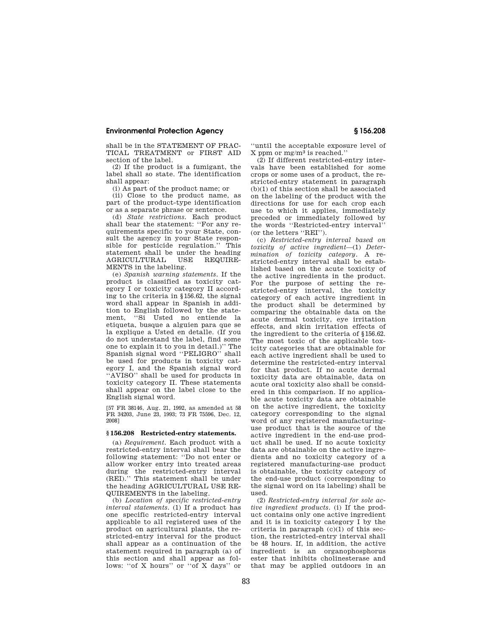shall be in the STATEMENT OF PRAC-TICAL TREATMENT or FIRST AID section of the label.

(2) If the product is a fumigant, the label shall so state. The identification shall appear:

(i) As part of the product name; or

(ii) Close to the product name, as part of the product-type identification or as a separate phrase or sentence.

(d) *State restrictions.* Each product shall bear the statement: ''For any requirements specific to your State, consult the agency in your State responsible for pesticide regulation.'' This statement shall be under the heading<br>AGRICULTURAL USE REQUIRE-AGRICULTURAL USE MENTS in the labeling.

(e) *Spanish warning statements.* If the product is classified as toxicity category I or toxicity category II according to the criteria in §156.62, the signal word shall appear in Spanish in addition to English followed by the statement, ''Si Usted no entiende la etiqueta, busque a alguien para que se la explique a Usted en detalle. (If you do not understand the label, find some one to explain it to you in detail.)'' The Spanish signal word "PELIGRO" shall be used for products in toxicity category I, and the Spanish signal word ''AVISO'' shall be used for products in toxicity category II. These statements shall appear on the label close to the English signal word.

[57 FR 38146, Aug. 21, 1992, as amended at 58 FR 34203, June 23, 1993; 73 FR 75596, Dec. 12, 2008]

#### **§ 156.208 Restricted-entry statements.**

(a) *Requirement.* Each product with a restricted-entry interval shall bear the following statement: ''Do not enter or allow worker entry into treated areas during the restricted-entry interval (REI).'' This statement shall be under the heading AGRICULTURAL USE RE-QUIREMENTS in the labeling.

(b) *Location of specific restricted-entry interval statements.* (1) If a product has one specific restricted-entry interval applicable to all registered uses of the product on agricultural plants, the restricted-entry interval for the product shall appear as a continuation of the statement required in paragraph (a) of this section and shall appear as follows: ''of X hours'' or ''of X days'' or

''until the acceptable exposure level of  $X$  ppm or mg/m<sup>3</sup> is reached."

(2) If different restricted-entry intervals have been established for some crops or some uses of a product, the restricted-entry statement in paragraph  $(b)(1)$  of this section shall be associated on the labeling of the product with the directions for use for each crop each use to which it applies, immediately preceded or immediately followed by the words ''Restricted-entry interval'' (or the letters ''REI'').

(c) *Restricted-entry interval based on toxicity of active ingredient*—(1) *Determination of toxicity category.* A restricted-entry interval shall be established based on the acute toxicity of the active ingredients in the product. For the purpose of setting the restricted-entry interval, the toxicity category of each active ingredient in the product shall be determined by comparing the obtainable data on the acute dermal toxicity, eye irritation effects, and skin irritation effects of the ingredient to the criteria of §156.62. The most toxic of the applicable toxicity categories that are obtainable for each active ingredient shall be used to determine the restricted-entry interval for that product. If no acute dermal toxicity data are obtainable, data on acute oral toxicity also shall be considered in this comparison. If no applicable acute toxicity data are obtainable on the active ingredient, the toxicity category corresponding to the signal word of any registered manufacturinguse product that is the source of the active ingredient in the end-use product shall be used. If no acute toxicity data are obtainable on the active ingredients and no toxicity category of a registered manufacturing-use product is obtainable, the toxicity category of the end-use product (corresponding to the signal word on its labeling) shall be used.

(2) *Restricted-entry interval for sole active ingredient products.* (i) If the product contains only one active ingredient and it is in toxicity category I by the criteria in paragraph  $(c)(1)$  of this section, the restricted-entry interval shall be 48 hours. If, in addition, the active ingredient is an organophosphorus ester that inhibits cholinesterase and that may be applied outdoors in an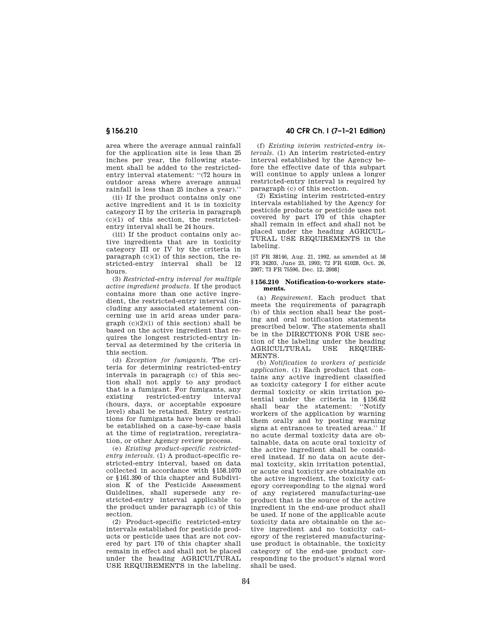area where the average annual rainfall for the application site is less than 25 inches per year, the following statement shall be added to the restrictedentry interval statement: "(72 hours in outdoor areas where average annual rainfall is less than 25 inches a year).''

(ii) If the product contains only one active ingredient and it is in toxicity category II by the criteria in paragraph (c)(1) of this section, the restrictedentry interval shall be 24 hours.

(iii) If the product contains only active ingredients that are in toxicity category III or IV by the criteria in paragraph (c)(1) of this section, the restricted-entry interval shall be 12 hours.

(3) *Restricted-entry interval for multiple active ingredient products.* If the product contains more than one active ingredient, the restricted-entry interval (including any associated statement concerning use in arid areas under paragraph  $(c)(2)(i)$  of this section) shall be based on the active ingredient that requires the longest restricted-entry interval as determined by the criteria in this section.

(d) *Exception for fumigants.* The criteria for determining restricted-entry intervals in paragraph (c) of this section shall not apply to any product that is a fumigant. For fumigants, any existing restricted-entry interval (hours, days, or acceptable exposure level) shall be retained. Entry restrictions for fumigants have been or shall be established on a case-by-case basis at the time of registration, reregistration, or other Agency review process.

(e) *Existing product-specific restrictedentry intervals.* (1) A product-specific restricted-entry interval, based on data collected in accordance with §158.1070 or §161.390 of this chapter and Subdivision K of the Pesticide Assessment Guidelines, shall supersede any restricted-entry interval applicable to the product under paragraph (c) of this section.

(2) Product-specific restricted-entry intervals established for pesticide products or pesticide uses that are not covered by part 170 of this chapter shall remain in effect and shall not be placed under the heading AGRICULTURAL USE REQUIREMENTS in the labeling.

**§ 156.210 40 CFR Ch. I (7–1–21 Edition)** 

(f) *Existing interim restricted-entry intervals.* (1) An interim restricted-entry interval established by the Agency before the effective date of this subpart will continue to apply unless a longer restricted-entry interval is required by paragraph (c) of this section.

(2) Existing interim restricted-entry intervals established by the Agency for pesticide products or pesticide uses not covered by part 170 of this chapter shall remain in effect and shall not be placed under the heading AGRICUL-TURAL USE REQUIREMENTS in the labeling.

[57 FR 38146, Aug. 21, 1992, as amended at 58 FR 34203, June 23, 1993; 72 FR 61028, Oct. 26, 2007; 73 FR 75596, Dec. 12, 2008]

#### **§ 156.210 Notification-to-workers statements.**

(a) *Requirement.* Each product that meets the requirements of paragraph (b) of this section shall bear the posting and oral notification statements prescribed below. The statements shall be in the DIRECTIONS FOR USE section of the labeling under the heading<br>AGRICULTURAL USE REQUIRE-USE REQUIRE-MENTS.

(b) *Notification to workers of pesticide application.* (1) Each product that contains any active ingredient classified as toxicity category I for either acute dermal toxicity or skin irritation potential under the criteria in §156.62 shall bear the statement: ''Notify workers of the application by warning them orally and by posting warning signs at entrances to treated areas.'' If no acute dermal toxicity data are obtainable, data on acute oral toxicity of the active ingredient shall be considered instead. If no data on acute dermal toxicity, skin irritation potential, or acute oral toxicity are obtainable on the active ingredient, the toxicity category corresponding to the signal word of any registered manufacturing-use product that is the source of the active ingredient in the end-use product shall be used. If none of the applicable acute toxicity data are obtainable on the active ingredient and no toxicity category of the registered manufacturinguse product is obtainable, the toxicity category of the end-use product corresponding to the product's signal word shall be used.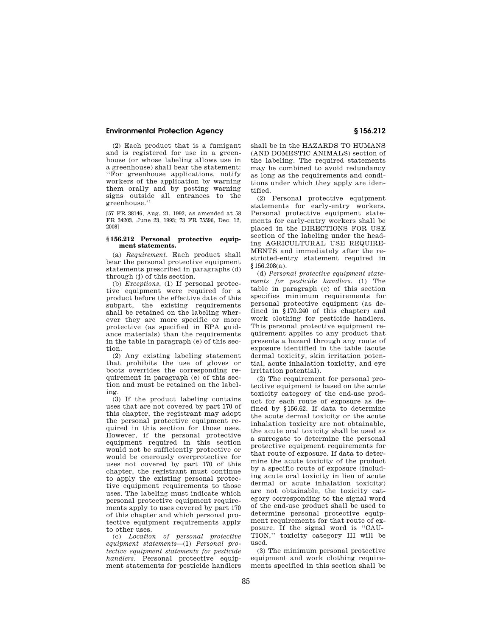(2) Each product that is a fumigant and is registered for use in a greenhouse (or whose labeling allows use in a greenhouse) shall bear the statement: ''For greenhouse applications, notify workers of the application by warning them orally and by posting warning signs outside all entrances to the greenhouse.''

[57 FR 38146, Aug. 21, 1992, as amended at 58 FR 34203, June 23, 1993; 73 FR 75596, Dec. 12, 2008]

#### **§ 156.212 Personal protective equipment statements.**

(a) *Requirement.* Each product shall bear the personal protective equipment statements prescribed in paragraphs (d) through (i) of this section.

(b) *Exceptions.* (1) If personal protective equipment were required for a product before the effective date of this subpart, the existing requirements shall be retained on the labeling wherever they are more specific or more protective (as specified in EPA guidance materials) than the requirements in the table in paragraph (e) of this section.

(2) Any existing labeling statement that prohibits the use of gloves or boots overrides the corresponding requirement in paragraph (e) of this section and must be retained on the labeling.

(3) If the product labeling contains uses that are not covered by part 170 of this chapter, the registrant may adopt the personal protective equipment required in this section for those uses. However, if the personal protective equipment required in this section would not be sufficiently protective or would be onerously overprotective for uses not covered by part 170 of this chapter, the registrant must continue to apply the existing personal protective equipment requirements to those uses. The labeling must indicate which personal protective equipment requirements apply to uses covered by part 170 of this chapter and which personal protective equipment requirements apply to other uses.

(c) *Location of personal protective equipment statements*—(1) *Personal protective equipment statements for pesticide handlers.* Personal protective equipment statements for pesticide handlers shall be in the HAZARDS TO HUMANS (AND DOMESTIC ANIMALS) section of the labeling. The required statements may be combined to avoid redundancy as long as the requirements and conditions under which they apply are identified.

(2) Personal protective equipment statements for early-entry workers. Personal protective equipment statements for early-entry workers shall be placed in the DIRECTIONS FOR USE section of the labeling under the heading AGRICULTURAL USE REQUIRE-MENTS and immediately after the restricted-entry statement required in §156.208(a).

(d) *Personal protective equipment statements for pesticide handlers.* (1) The table in paragraph (e) of this section specifies minimum requirements for personal protective equipment (as defined in §170.240 of this chapter) and work clothing for pesticide handlers. This personal protective equipment requirement applies to any product that presents a hazard through any route of exposure identified in the table (acute dermal toxicity, skin irritation potential, acute inhalation toxicity, and eye irritation potential).

(2) The requirement for personal protective equipment is based on the acute toxicity category of the end-use product for each route of exposure as defined by §156.62. If data to determine the acute dermal toxicity or the acute inhalation toxicity are not obtainable, the acute oral toxicity shall be used as a surrogate to determine the personal protective equipment requirements for that route of exposure. If data to determine the acute toxicity of the product by a specific route of exposure (including acute oral toxicity in lieu of acute dermal or acute inhalation toxicity) are not obtainable, the toxicity category corresponding to the signal word of the end-use product shall be used to determine personal protective equipment requirements for that route of exposure. If the signal word is ''CAU-TION,'' toxicity category III will be used.

(3) The minimum personal protective equipment and work clothing requirements specified in this section shall be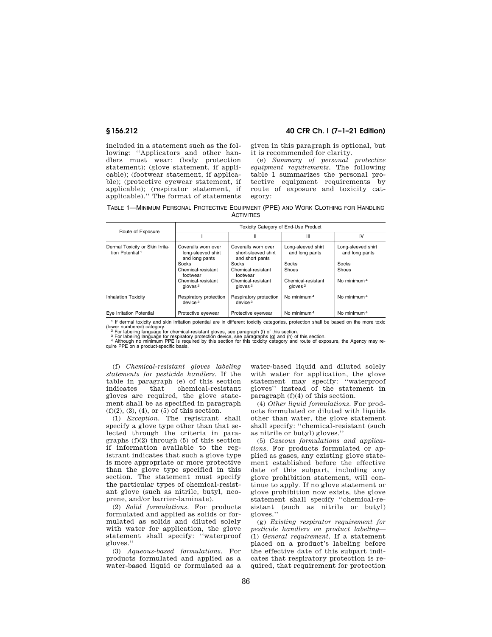included in a statement such as the following: ''Applicators and other handlers must wear: (body protection statement); (glove statement, if applicable); (footwear statement, if applicable); (protective eyewear statement, if applicable); (respirator statement, if applicable).'' The format of statements

**§ 156.212 40 CFR Ch. I (7–1–21 Edition)** 

given in this paragraph is optional, but it is recommended for clarity.

(e) *Summary of personal protective equipment requirements.* The following table 1 summarizes the personal protective equipment requirements by route of exposure and toxicity category:

TABLE 1—MINIMUM PERSONAL PROTECTIVE EQUIPMENT (PPE) AND WORK CLOTHING FOR HANDLING **ACTIVITIES** 

|                                                                | Toxicity Category of End-Use Product                        |                                                               |                                              |                                      |
|----------------------------------------------------------------|-------------------------------------------------------------|---------------------------------------------------------------|----------------------------------------------|--------------------------------------|
| Route of Exposure                                              |                                                             | н                                                             | Ш                                            | IV                                   |
| Dermal Toxicity or Skin Irrita-<br>tion Potential <sup>1</sup> | Coveralls worn over<br>long-sleeved shirt<br>and long pants | Coveralls worn over<br>short-sleeved shirt<br>and short pants | Long-sleeved shirt<br>and long pants         | Long-sleeved shirt<br>and long pants |
|                                                                | Socks                                                       | <b>Socks</b>                                                  | Socks                                        | Socks                                |
|                                                                | Chemical-resistant<br>footwear                              | Chemical-resistant<br>footwear                                | Shoes                                        | Shoes                                |
|                                                                | Chemical-resistant<br>qloves <sup>2</sup>                   | Chemical-resistant<br>qloves <sup>2</sup>                     | Chemical-resistant<br>$a$ loves <sup>2</sup> | No minimum <sup>4</sup>              |
| <b>Inhalation Toxicity</b>                                     | Respiratory protection<br>device <sup>3</sup>               | Respiratory protection<br>device <sup>3</sup>                 | No minimum <sup>4</sup>                      | No minimum <sup>4</sup>              |
| Eve Irritation Potential                                       | Protective eyewear                                          | Protective eyewear                                            | No minimum <sup>4</sup>                      | No minimum <sup>4</sup>              |

<sup>1</sup> If dermal toxicity and skin irritation potential are in different toxicity categories, protection shall be based on the more toxic (lower numbered) category.<br>
<sup>2</sup> For labeling language for chemical-resistant gloves, se

(f) *Chemical-resistant gloves labeling statements for pesticide handlers.* If the table in paragraph (e) of this section indicates that chemical-resistant gloves are required, the glove statement shall be as specified in paragraph  $(f)(2), (3), (4),$  or  $(5)$  of this section.

(1) *Exception.* The registrant shall specify a glove type other than that selected through the criteria in paragraphs  $(f)(2)$  through  $(5)$  of this section if information available to the registrant indicates that such a glove type is more appropriate or more protective than the glove type specified in this section. The statement must specify the particular types of chemical-resistant glove (such as nitrile, butyl, neoprene, and/or barrier-laminate).

(2) *Solid formulations.* For products formulated and applied as solids or formulated as solids and diluted solely with water for application, the glove statement shall specify: ''waterproof gloves.''

(3) *Aqueous-based formulations.* For products formulated and applied as a water-based liquid or formulated as a

water-based liquid and diluted solely with water for application, the glove statement may specify: ''waterproof gloves'' instead of the statement in paragraph (f)(4) of this section.

(4) *Other liquid formulations.* For products formulated or diluted with liquids other than water, the glove statement shall specify: ''chemical-resistant (such as nitrile or butyl) gloves.''

(5) *Gaseous formulations and applications.* For products formulated or applied as gases, any existing glove statement established before the effective date of this subpart, including any glove prohibition statement, will continue to apply. If no glove statement or glove prohibition now exists, the glove statement shall specify ''chemical-resistant (such as nitrile or butyl) gloves.''

(g) *Existing respirator requirement for pesticide handlers on product labeling*— (1) *General requirement.* If a statement placed on a product's labeling before the effective date of this subpart indicates that respiratory protection is required, that requirement for protection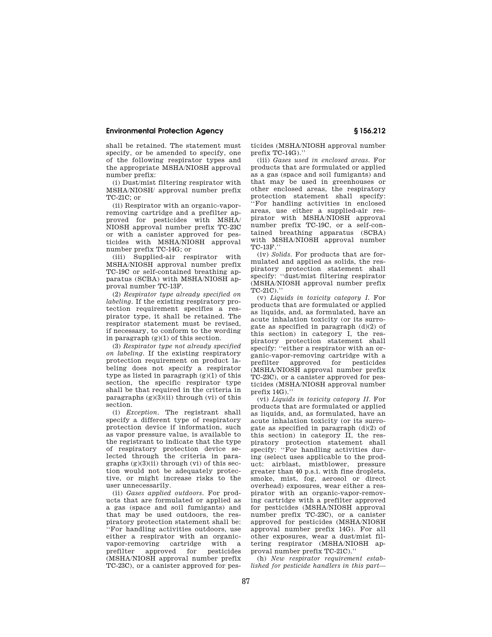shall be retained. The statement must specify, or be amended to specify, one of the following respirator types and the appropriate MSHA/NIOSH approval number prefix:

(i) Dust/mist filtering respirator with MSHA/NIOSH/ approval number prefix TC-21C; or

(ii) Respirator with an organic-vaporremoving cartridge and a prefilter approved for pesticides with MSHA/ NIOSH approval number prefix TC-23C or with a canister approved for pesticides with MSHA/NIOSH approval number prefix TC-14G; or

(iii) Supplied-air respirator with MSHA/NIOSH approval number prefix TC-19C or self-contained breathing apparatus (SCBA) with MSHA/NIOSH approval number TC-13F.

(2) *Respirator type already specified on labeling.* If the existing respiratory protection requirement specifies a respirator type, it shall be retained. The respirator statement must be revised, if necessary, to conform to the wording in paragraph  $(g)(1)$  of this section.

(3) *Respirator type not already specified on labeling.* If the existing respiratory protection requirement on product labeling does not specify a respirator type as listed in paragraph  $(g)(1)$  of this section, the specific respirator type shall be that required in the criteria in paragraphs  $(g)(3)(ii)$  through  $(vi)$  of this section.

(i) *Exception.* The registrant shall specify a different type of respiratory protection device if information, such as vapor pressure value, is available to the registrant to indicate that the type of respiratory protection device selected through the criteria in paragraphs  $(g)(3)(ii)$  through  $(vi)$  of this section would not be adequately protective, or might increase risks to the user unnecessarily.

(ii) *Gases applied outdoors.* For products that are formulated or applied as a gas (space and soil fumigants) and that may be used outdoors, the respiratory protection statement shall be: ''For handling activities outdoors, use either a respirator with an organicvapor-removing cartridge with a prefilter approved for pesticides (MSHA/NIOSH approval number prefix TC-23C), or a canister approved for pesticides (MSHA/NIOSH approval number prefix TC-14G).''

(iii) *Gases used in enclosed areas.* For products that are formulated or applied as a gas (space and soil fumigants) and that may be used in greenhouses or other enclosed areas, the respiratory protection statement shall specify: ''For handling activities in enclosed areas, use either a supplied-air respirator with MSHA/NIOSH approval number prefix TC-19C, or a self-contained breathing apparatus (SCBA) with MSHA/NIOSH approval number TC-13F.''

(iv) *Solids.* For products that are formulated and applied as solids, the respiratory protection statement shall specify: ''dust/mist filtering respirator (MSHA/NIOSH approval number prefix TC-21C).''

(v) *Liquids in toxicity category I.* For products that are formulated or applied as liquids, and, as formulated, have an acute inhalation toxicity (or its surrogate as specified in paragraph (d)(2) of this section) in category I, the respiratory protection statement shall specify: ''either a respirator with an organic-vapor-removing cartridge with a approved for pesticides (MSHA/NIOSH approval number prefix TC-23C), or a canister approved for pesticides (MSHA/NIOSH approval number  $nrefix 14G$ .

(vi) *Liquids in toxicity category II.* For products that are formulated or applied as liquids, and, as formulated, have an acute inhalation toxicity (or its surrogate as specified in paragraph (d)(2) of this section) in category II, the respiratory protection statement shall specify: ''For handling activities during (select uses applicable to the product: airblast, mistblower, pressure greater than 40 p.s.i. with fine droplets, smoke, mist, fog, aerosol or direct overhead) exposures, wear either a respirator with an organic-vapor-removing cartridge with a prefilter approved for pesticides (MSHA/NIOSH approval number prefix TC-23C), or a canister approved for pesticides (MSHA/NIOSH approval number prefix 14G). For all other exposures, wear a dust/mist filtering respirator (MSHA/NIOSH approval number prefix TC-21C).''

(h) *New respirator requirement established for pesticide handlers in this part*—